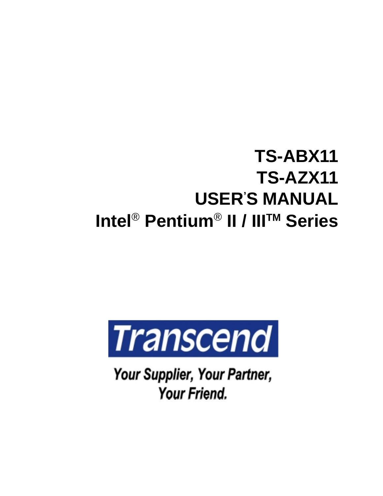# **TS-ABX11 TS-AZX11 USER' S MANUAL Intel**® **Pentium**® **II / IIITM Series**



Your Supplier, Your Partner, Your Friend.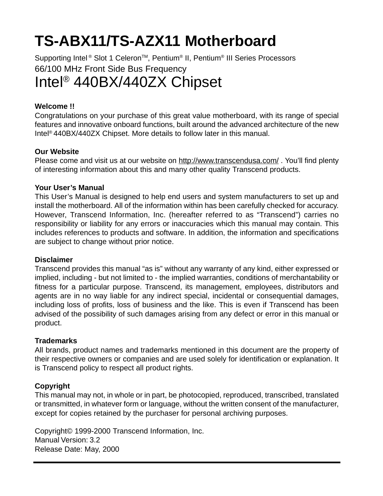## **TS-ABX11/TS-AZX11 Motherboard**

Supporting Intel<sup>®</sup> Slot 1 Celeron<sup>™</sup>, Pentium<sup>®</sup> II, Pentium<sup>®</sup> III Series Processors 66/100 MHz Front Side Bus Frequency

## Intel® 440BX/440ZX Chipset

#### **Welcome !!**

Congratulations on your purchase of this great value motherboard, with its range of special features and innovative onboard functions, built around the advanced architecture of the new Intel® 440BX/440ZX Chipset. More details to follow later in this manual.

#### **Our Website**

Please come and visit us at our website on http://www.transcendusa.com/. You'll find plenty of interesting information about this and many other quality Transcend products.

#### **Your User's Manual**

This User's Manual is designed to help end users and system manufacturers to set up and install the motherboard. All of the information within has been carefully checked for accuracy. However, Transcend Information, Inc. (hereafter referred to as "Transcend") carries no responsibility or liability for any errors or inaccuracies which this manual may contain. This includes references to products and software. In addition, the information and specifications are subject to change without prior notice.

#### **Disclaimer**

Transcend provides this manual "as is" without any warranty of any kind, either expressed or implied, including - but not limited to - the implied warranties, conditions of merchantability or fitness for a particular purpose. Transcend, its management, employees, distributors and agents are in no way liable for any indirect special, incidental or consequential damages, including loss of profits, loss of business and the like. This is even if Transcend has been advised of the possibility of such damages arising from any defect or error in this manual or product.

#### **Trademarks**

All brands, product names and trademarks mentioned in this document are the property of their respective owners or companies and are used solely for identification or explanation. It is Transcend policy to respect all product rights.

#### **Copyright**

This manual may not, in whole or in part, be photocopied, reproduced, transcribed, translated or transmitted, in whatever form or language, without the written consent of the manufacturer, except for copies retained by the purchaser for personal archiving purposes.

Copyright© 1999-2000 Transcend Information, Inc. Manual Version: 3.2 Release Date: May, 2000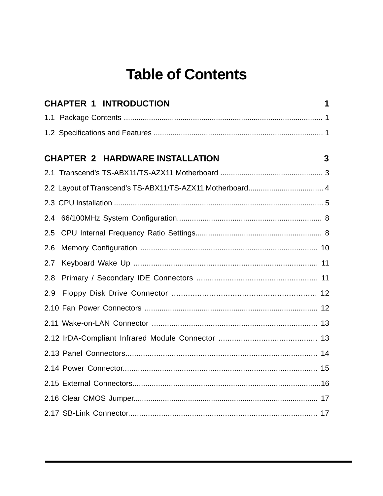## **Table of Contents**

|     |  | <b>CHAPTER 1 INTRODUCTION</b><br>1          |  |
|-----|--|---------------------------------------------|--|
|     |  |                                             |  |
|     |  |                                             |  |
|     |  |                                             |  |
|     |  | <b>CHAPTER 2 HARDWARE INSTALLATION</b><br>3 |  |
|     |  |                                             |  |
|     |  |                                             |  |
|     |  |                                             |  |
| 2.4 |  |                                             |  |
| 2.5 |  |                                             |  |
| 2.6 |  |                                             |  |
| 2.7 |  |                                             |  |
| 2.8 |  |                                             |  |
| 2.9 |  |                                             |  |
|     |  |                                             |  |
|     |  |                                             |  |
|     |  |                                             |  |
|     |  |                                             |  |
|     |  |                                             |  |
|     |  |                                             |  |
|     |  |                                             |  |
|     |  |                                             |  |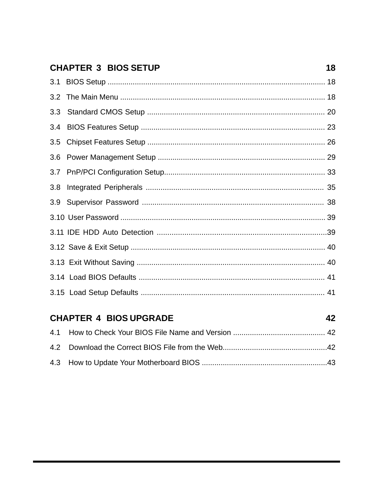### **CHAPTER 3 BIOS SETUP**

| 3.3 |  |
|-----|--|
| 3.4 |  |
| 3.5 |  |
| 3.6 |  |
|     |  |
| 3.8 |  |
| 3.9 |  |
|     |  |
|     |  |
|     |  |
|     |  |
|     |  |
|     |  |

## **CHAPTER 4 BIOS UPGRADE**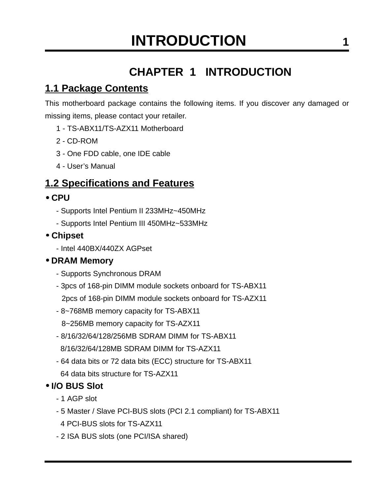## **CHAPTER 1 INTRODUCTION**

## **1.1 Package Contents**

This motherboard package contains the following items. If you discover any damaged or missing items, please contact your retailer.

- 1 TS-ABX11/TS-AZX11 Motherboard
- 2 CD-ROM
- 3 One FDD cable, one IDE cable
- 4 User's Manual

## **1.2 Specifications and Features**

- **CPU**
	- Supports Intel Pentium II 233MHz~450MHz
	- Supports Intel Pentium III 450MHz~533MHz
- **Chipset**
	- Intel 440BX/440ZX AGPset

#### • **DRAM Memory**

- Supports Synchronous DRAM
- 3pcs of 168-pin DIMM module sockets onboard for TS-ABX11 2pcs of 168-pin DIMM module sockets onboard for TS-AZX11
- 8~768MB memory capacity for TS-ABX11
	- 8~256MB memory capacity for TS-AZX11
- 8/16/32/64/128/256MB SDRAM DIMM for TS-ABX11 8/16/32/64/128MB SDRAM DIMM for TS-AZX11
- 64 data bits or 72 data bits (ECC) structure for TS-ABX11 64 data bits structure for TS-AZX11

### • **I/O BUS Slot**

- 1 AGP slot
- 5 Master / Slave PCI-BUS slots (PCI 2.1 compliant) for TS-ABX11
- 4 PCI-BUS slots for TS-AZX11
- 2 ISA BUS slots (one PCI/ISA shared)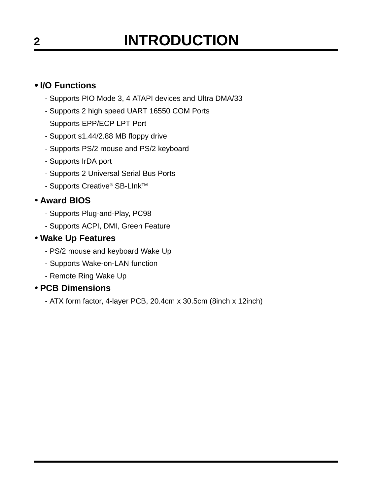## **2 INTRODUCTION**

#### • **I/O Functions**

- Supports PIO Mode 3, 4 ATAPI devices and Ultra DMA/33
- Supports 2 high speed UART 16550 COM Ports
- Supports EPP/ECP LPT Port
- Support s1.44/2.88 MB floppy drive
- Supports PS/2 mouse and PS/2 keyboard
- Supports IrDA port
- Supports 2 Universal Serial Bus Ports
- Supports Creative® SB-LInkTM

#### • **Award BIOS**

- Supports Plug-and-Play, PC98
- Supports ACPI, DMI, Green Feature

#### • **Wake Up Features**

- PS/2 mouse and keyboard Wake Up
- Supports Wake-on-LAN function
- Remote Ring Wake Up

#### • **PCB Dimensions**

- ATX form factor, 4-layer PCB, 20.4cm x 30.5cm (8inch x 12inch)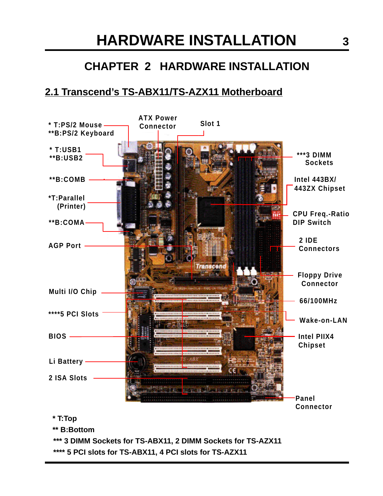## **HARDWARE INSTALLATION 3**

## **CHAPTER 2 HARDWARE INSTALLATION**

## **2.1 Transcend's TS-ABX11/TS-AZX11 Motherboard**



**\* T:Top**

**\*\* B:Bottom**

 **\*\*\* 3 DIMM Sockets for TS-ABX11, 2 DIMM Sockets for TS-AZX11 \*\*\*\* 5 PCI slots for TS-ABX11, 4 PCI slots for TS-AZX11**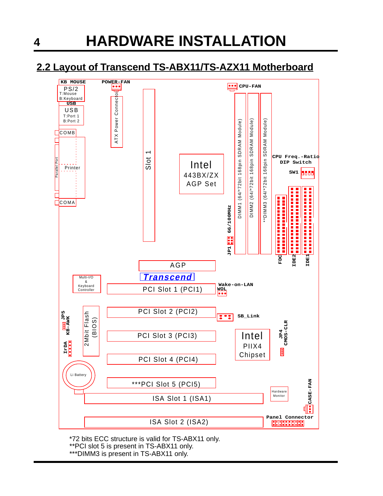**4 HARDWARE INSTALLATION**

### **2.2 Layout of Transcend TS-ABX11/TS-AZX11 Motherboard**



\*72 bits ECC structure is valid for TS-ABX11 only. \*\*PCI slot 5 is present in TS-ABX11 only. \*\*\*DIMM3 is present in TS-ABX11 only.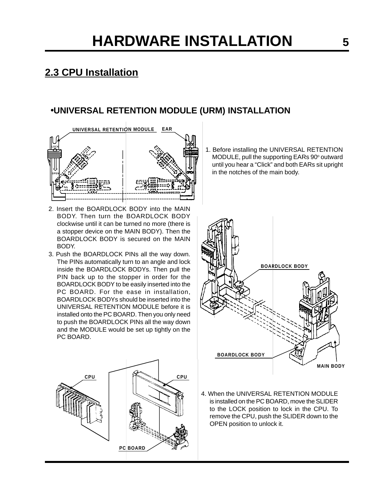#### **2.3 CPU Installation**

#### •**UNIVERSAL RETENTION MODULE (URM) INSTALLATION**

**UNIVERSAL RETENTIO ON MODULE EARLOCK OPEN**

- 2. Insert the BOARDLOCK BODY into the MAIN BODY. Then turn the BOARDLOCK BODY clockwise until it can be turned no more (there is a stopper device on the MAIN BODY). Then the BOARDLOCK BODY is secured on the MAIN BODY.
- 3. Push the BOARDLOCK PINs all the way down. The PINs automatically turn to an angle and lock inside the BOARDLOCK BODYs. Then pull the PIN back up to the stopper in order for the BOARDLOCK BODY to be easily inserted into the PC BOARD. For the ease in installation, BOARDLOCK BODYs should be inserted into the UNIVERSAL RETENTION MODULE before it is installed onto the PC BOARD. Then you only need to push the BOARDLOCK PINs all the way down and the MODULE would be set up tightly on the PC BOARD.

 1. Before installing the UNIVERSAL RETENTION MODULE, pull the supporting EARs 90° outward until you hear a "Click" and both EARs sit upright in the notches of the main body.





4. When the UNIVERSAL RETENTION MODULE is installed on the PC BOARD, move the SLIDER to the LOCK position to lock in the CPU. To remove the CPU, push the SLIDER down to the OPEN position to unlock it.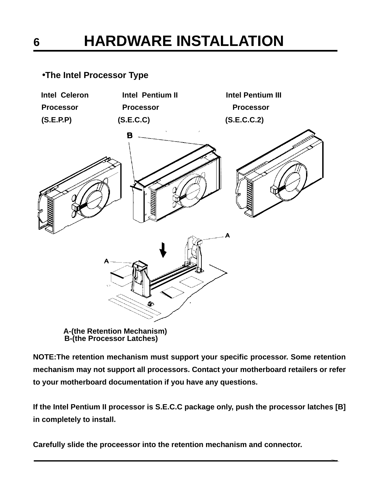#### •**The Intel Processor Type**



 **A-(the Retention Mechanism) B-(the Processor Latches)**

**NOTE:The retention mechanism must support your specific processor. Some retention mechanism may not support all processors. Contact your motherboard retailers or refer to your motherboard documentation if you have any questions.**

**If the Intel Pentium II processor is S.E.C.C package only, push the processor latches [B] in completely to install.**

**Carefully slide the proceessor into the retention mechanism and connector.**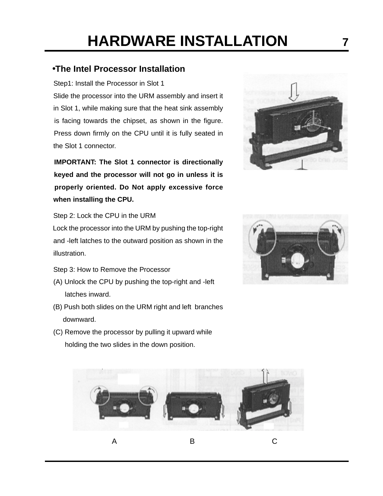## **HARDWARE INSTALLATION 7**

#### •**The Intel Processor Installation**

Step1: Install the Processor in Slot 1

 Slide the processor into the URM assembly and insert it in Slot 1, while making sure that the heat sink assembly is facing towards the chipset, as shown in the figure. Press down firmly on the CPU until it is fully seated in the Slot 1 connector.

**IMPORTANT: The Slot 1 connector is directionally keyed and the processor will not go in unless it is properly oriented. Do Not apply excessive force when installing the CPU.**

Step 2: Lock the CPU in the URM

 Lock the processor into the URM by pushing the top-right and -left latches to the outward position as shown in the illustration.

Step 3: How to Remove the Processor

- (A) Unlock the CPU by pushing the top-right and -left latches inward.
- (B) Push both slides on the URM right and left branches downward.
- (C) Remove the processor by pulling it upward while holding the two slides in the down position.





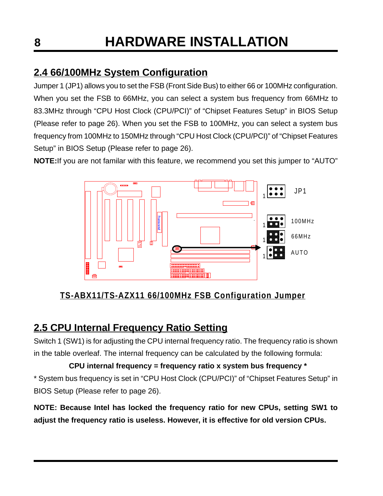## **2.4 66/100MHz System Configuration**

Jumper 1 (JP1) allows you to set the FSB (Front Side Bus) to either 66 or 100MHz configuration. When you set the FSB to 66MHz, you can select a system bus frequency from 66MHz to 83.3MHz through "CPU Host Clock (CPU/PCI)" of "Chipset Features Setup" in BIOS Setup (Please refer to page 26). When you set the FSB to 100MHz, you can select a system bus frequency from 100MHz to 150MHz through "CPU Host Clock (CPU/PCI)" of "Chipset Features Setup" in BIOS Setup (Please refer to page 26).

**NOTE:**If you are not familar with this feature, we recommend you set this jumper to "AUTO"



**TS-ABX11/TS-AZX11 66/100MHz FSB Configuration Jumper Transcend**

## **2.5 CPU Internal Frequency Ratio Setting**

Switch 1 (SW1) is for adjusting the CPU internal frequency ratio. The frequency ratio is shown in the table overleaf. The internal frequency can be calculated by the following formula:

 **CPU internal frequency = frequency ratio x system bus frequency \*** \* System bus frequency is set in "CPU Host Clock (CPU/PCI)" of "Chipset Features Setup" in BIOS Setup (Please refer to page 26).

**NOTE: Because Intel has locked the frequency ratio for new CPUs, setting SW1 to adjust the frequency ratio is useless. However, it is effective for old version CPUs.**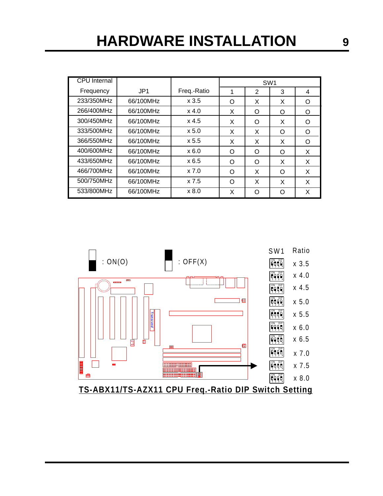| <b>CPU</b> Internal |           |             |   | SW <sub>1</sub> |   |   |
|---------------------|-----------|-------------|---|-----------------|---|---|
| Frequency           | JPI       | Freq.-Ratio | 1 | $\overline{2}$  | 3 | 4 |
| 233/350MHz          | 66/100MHz | x3.5        | O | X               | X | Ω |
| 266/400MHz          | 66/100MHz | $x$ 4.0     | X | O               | O | O |
| 300/450MHz          | 66/100MHz | $x$ 4.5     | X | O               | X | O |
| 333/500MHz          | 66/100MHz | x 5.0       | X | X               | O | Ω |
| 366/550MHz          | 66/100MHz | x 5.5       | X | X               | X | Ω |
| 400/600MHz          | 66/100MHz | x 6.0       | O | O               | Ω | X |
| 433/650MHz          | 66/100MHz | x 6.5       | O | $\Omega$        | X | X |
| 466/700MHz          | 66/100MHz | x 7.0       | O | X               | Ω | X |
| 500/750MHz          | 66/100MHz | x 7.5       | O | X               | X | X |
| 533/800MHz          | 66/100MHz | x 8.0       | X | O               | Ω | X |

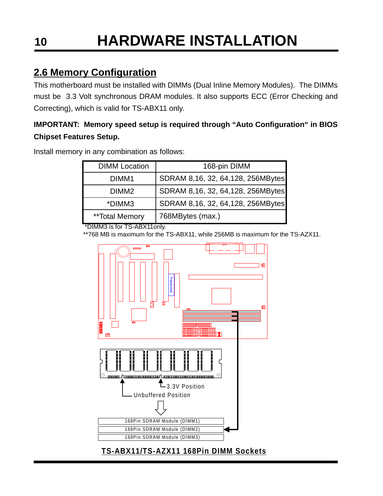## **10 HARDWARE INSTALLATION**

## **2.6 Memory Configuration**

This motherboard must be installed with DIMMs (Dual Inline Memory Modules). The DIMMs must be 3.3 Volt synchronous DRAM modules. It also supports ECC (Error Checking and Correcting), which is valid for TS-ABX11 only.

#### **IMPORTANT: Memory speed setup is required through "Auto Configuration" in BIOS Chipset Features Setup.**

Install memory in any combination as follows:

| <b>DIMM</b> Location | 168-pin DIMM                      |
|----------------------|-----------------------------------|
| DIMM1                | SDRAM 8,16, 32, 64,128, 256MBytes |
| DIMM <sub>2</sub>    | SDRAM 8,16, 32, 64,128, 256MBytes |
| *DIMM3               | SDRAM 8,16, 32, 64,128, 256MBytes |
| **Total Memory       | 768MBytes (max.)                  |

\*DIMM3 is for TS-ABX11only.

\*\*768 MB is maximum for the TS-ABX11, while 256MB is maximum for the TS-AZX11.

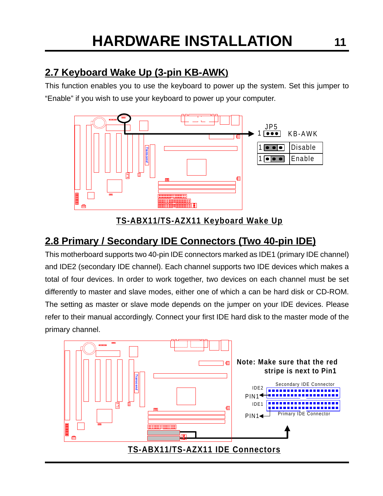## **2.7 Keyboard Wake Up (3-pin KB-AWK)**

This function enables you to use the keyboard to power up the system. Set this jumper to "Enable" if you wish to use your keyboard to power up your computer.



**TS-ABX11/TS-AZX11 Keyboard Wake Up**

## **2.8 Primary / Secondary IDE Connectors (Two 40-pin IDE)**

This motherboard supports two 40-pin IDE connectors marked as IDE1 (primary IDE channel) and IDE2 (secondary IDE channel). Each channel supports two IDE devices which makes a total of four devices. In order to work together, two devices on each channel must be set differently to master and slave modes, either one of which a can be hard disk or CD-ROM. The setting as master or slave mode depends on the jumper on your IDE devices. Please refer to their manual accordingly. Connect your first IDE hard disk to the master mode of the primary channel.

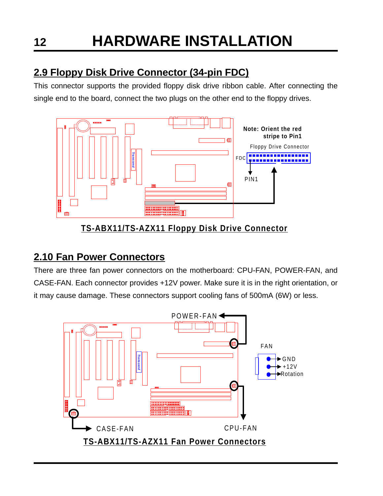## **12 HARDWARE INSTALLATION**

## **2.9 Floppy Disk Drive Connector (34-pin FDC)**

This connector supports the provided floppy disk drive ribbon cable. After connecting the single end to the board, connect the two plugs on the other end to the floppy drives.



**TS-ABX11/TS-AZX11 Floppy Disk Drive Connector**

## **2.10 Fan Power Connectors**

There are three fan power connectors on the motherboard: CPU-FAN, POWER-FAN, and CASE-FAN. Each connector provides +12V power. Make sure it is in the right orientation, or it may cause damage. These connectors support cooling fans of 500mA (6W) or less.

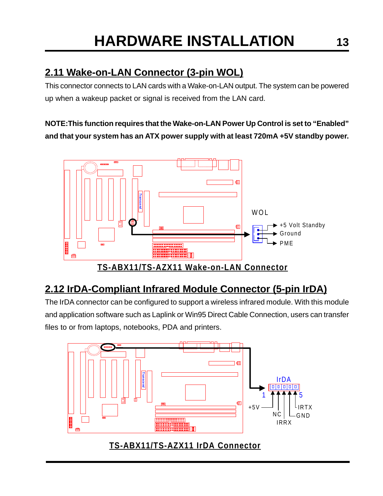## **2.11 Wake-on-LAN Connector (3-pin WOL)**

This connector connects to LAN cards with a Wake-on-LAN output. The system can be powered up when a wakeup packet or signal is received from the LAN card.

**NOTE:This function requires that the Wake-on-LAN Power Up Control is set to "Enabled" and that your system has an ATX power supply with at least 720mA +5V standby power.**



**TS-ABX11/TS-AZX11 Wake-on-LAN Connector**

## **2.12 IrDA-Compliant Infrared Module Connector (5-pin IrDA)**

The IrDA connector can be configured to support a wireless infrared module. With this module and application software such as Laplink or Win95 Direct Cable Connection, users can transfer files to or from laptops, notebooks, PDA and printers.

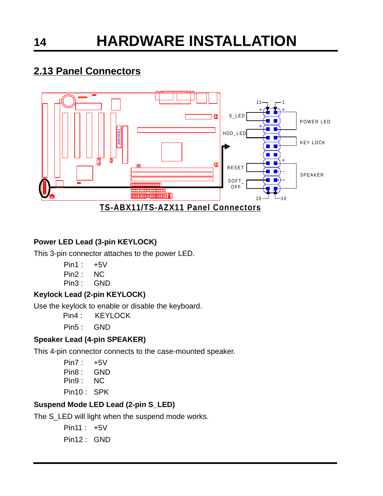### **2.13 Panel Connectors**



#### **Power LED Lead (3-pin KEYLOCK)**

This 3-pin connector attaches to the power LED.

- $Pin1: +5V$
- Pin2 : NC
- Pin3 : GND

#### **Keylock Lead (2-pin KEYLOCK)**

Use the keylock to enable or disable the keyboard.

Pin4 : KEYLOCK

Pin5 : GND

#### **Speaker Lead (4-pin SPEAKER)**

This 4-pin connector connects to the case-mounted speaker.

- Pin7 : +5V
- Pin8 : GND
- Pin9 : NC
- Pin10 : SPK

#### **Suspend Mode LED Lead (2-pin S\_LED)**

The S\_LED will light when the suspend mode works.

Pin11 : +5V Pin12 : GND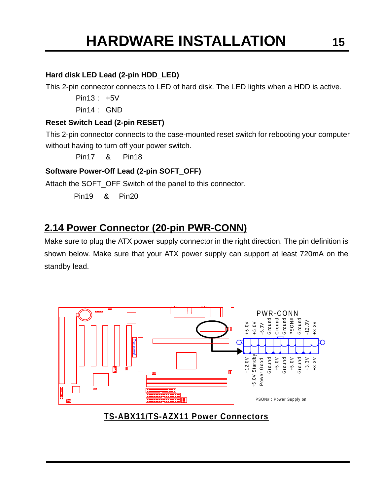#### **Hard disk LED Lead (2-pin HDD\_LED)**

This 2-pin connector connects to LED of hard disk. The LED lights when a HDD is active.

Pin13 : +5V

Pin14 : GND

#### **Reset Switch Lead (2-pin RESET)**

This 2-pin connector connects to the case-mounted reset switch for rebooting your computer without having to turn off your power switch.

Pin17 & Pin18

#### **Software Power-Off Lead (2-pin SOFT\_OFF)**

Attach the SOFT\_OFF Switch of the panel to this connector.

Pin19 & Pin20

## **2.14 Power Connector (20-pin PWR-CONN)**

Make sure to plug the ATX power supply connector in the right direction. The pin definition is shown below. Make sure that your ATX power supply can support at least 720mA on the standby lead.



**TS-ABX11/TS-AZX11 Power Connectors**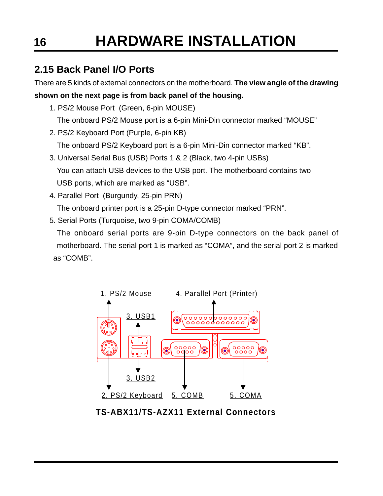## **16 HARDWARE INSTALLATION**

## **2.15 Back Panel I/O Ports**

There are 5 kinds of external connectors on the motherboard. **The view angle of the drawing shown on the next page is from back panel of the housing.**

1. PS/2 Mouse Port (Green, 6-pin MOUSE)

The onboard PS/2 Mouse port is a 6-pin Mini-Din connector marked "MOUSE"

2. PS/2 Keyboard Port (Purple, 6-pin KB)

The onboard PS/2 Keyboard port is a 6-pin Mini-Din connector marked "KB".

- 3. Universal Serial Bus (USB) Ports 1 & 2 (Black, two 4-pin USBs) You can attach USB devices to the USB port. The motherboard contains two USB ports, which are marked as "USB".
- 4. Parallel Port (Burgundy, 25-pin PRN) The onboard printer port is a 25-pin D-type connector marked "PRN".
- 5. Serial Ports (Turquoise, two 9-pin COMA/COMB)

The onboard serial ports are 9-pin D-type connectors on the back panel of motherboard. The serial port 1 is marked as "COMA", and the serial port 2 is marked as "COMB".



**TS-ABX11/TS-AZX11 External Connectors**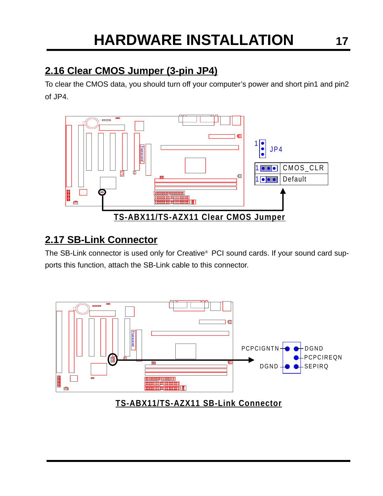## **2.16 Clear CMOS Jumper (3-pin JP4)**

To clear the CMOS data, you should turn off your computer's power and short pin1 and pin2 of JP4.



## **2.17 SB-Link Connector**

The SB-Link connector is used only for Creative® PCI sound cards. If your sound card supports this function, attach the SB-Link cable to this connector.



**TS-ABX11/TS-AZX11 SB-Link Connector**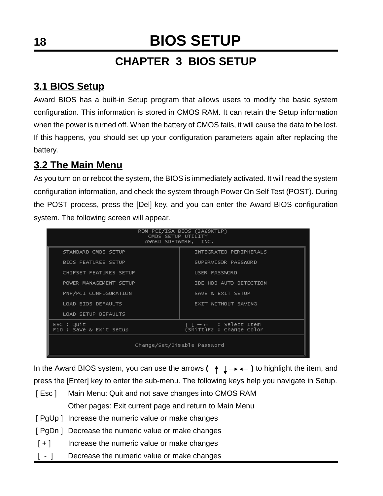## **CHAPTER 3 BIOS SETUP**

## **3.1 BIOS Setup**

Award BIOS has a built-in Setup program that allows users to modify the basic system configuration. This information is stored in CMOS RAM. It can retain the Setup information when the power is turned off. When the battery of CMOS fails, it will cause the data to be lost. If this happens, you should set up your configuration parameters again after replacing the battery.

### **3.2 The Main Menu**

As you turn on or reboot the system, the BIOS is immediately activated. It will read the system configuration information, and check the system through Power On Self Test (POST). During the POST process, press the [Del] key, and you can enter the Award BIOS configuration system. The following screen will appear.

| ROM PCI/ISA BIOS (2A69KTLP)<br>CMOS SETUP UTILITY<br>AWARD SOFTWARE, INC. |                                                                      |  |  |  |  |
|---------------------------------------------------------------------------|----------------------------------------------------------------------|--|--|--|--|
| STANDARD CMOS SETUP                                                       | INTEGRATED PERIPHERALS                                               |  |  |  |  |
| <b>BIOS FEATURES SETUP</b>                                                | SUPERVISOR PASSWORD                                                  |  |  |  |  |
| CHIPSET FEATURES SETUP                                                    | USER PASSWORD                                                        |  |  |  |  |
| POWER MANAGEMENT SETUP                                                    | IDE HDD AUTO DETECTION                                               |  |  |  |  |
| PNP/PCI CONFIGURATION                                                     | SAVE & EXIT SETUP                                                    |  |  |  |  |
| LOAD BIOS DEFAULTS                                                        | EXIT WITHOUT SAVING                                                  |  |  |  |  |
| LOAD SETUP DEFAULTS                                                       |                                                                      |  |  |  |  |
| $ESC$ : Quit<br>F10 : Save & Exit Setup                                   | $\rightarrow$ $\leftarrow$ : Select Item<br>(Shift)F2 : Change Color |  |  |  |  |
| Change/Set/Disable Password                                               |                                                                      |  |  |  |  |

In the Award BIOS system, you can use the arrows  $( \dagger \downarrow \rightarrow \leftarrow )$  to highlight the item, and press the [Enter] key to enter the sub-menu. The following keys help you navigate in Setup.

- [Esc ] Main Menu: Quit and not save changes into CMOS RAM Other pages: Exit current page and return to Main Menu
- [ PgUp ] Increase the numeric value or make changes
- [ PgDn ] Decrease the numeric value or make changes
- [+] Increase the numeric value or make changes
- [ ] Decrease the numeric value or make changes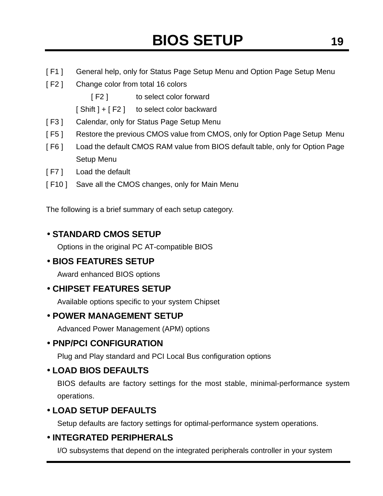- [ F1 ] General help, only for Status Page Setup Menu and Option Page Setup Menu
- [ F2 ] Change color from total 16 colors

[F2] to select color forward

[ Shift ] + [ F2 ] to select color backward

- [ F3 ] Calendar, only for Status Page Setup Menu
- [ F5 ] Restore the previous CMOS value from CMOS, only for Option Page Setup Menu
- [ F6 ] Load the default CMOS RAM value from BIOS default table, only for Option Page Setup Menu
- [ F7 ] Load the default
- [ F10 ] Save all the CMOS changes, only for Main Menu

The following is a brief summary of each setup category.

#### • **STANDARD CMOS SETUP**

Options in the original PC AT-compatible BIOS

#### • **BIOS FEATURES SETUP**

Award enhanced BIOS options

#### • **CHIPSET FEATURES SETUP**

Available options specific to your system Chipset

#### • **POWER MANAGEMENT SETUP**

Advanced Power Management (APM) options

#### • **PNP/PCI CONFIGURATION**

Plug and Play standard and PCI Local Bus configuration options

#### • **LOAD BIOS DEFAULTS**

BIOS defaults are factory settings for the most stable, minimal-performance system operations.

#### • **LOAD SETUP DEFAULTS**

Setup defaults are factory settings for optimal-performance system operations.

#### • **INTEGRATED PERIPHERALS**

I/O subsystems that depend on the integrated peripherals controller in your system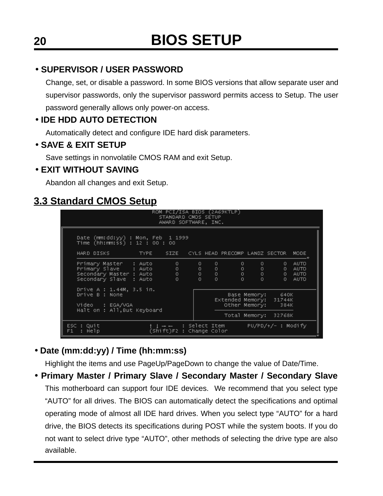#### • **SUPERVISOR / USER PASSWORD**

Change, set, or disable a password. In some BIOS versions that allow separate user and supervisor passwords, only the supervisor password permits access to Setup. The user password generally allows only power-on access.

#### • **IDE HDD AUTO DETECTION**

Automatically detect and configure IDE hard disk parameters.

#### • **SAVE & EXIT SETUP**

Save settings in nonvolatile CMOS RAM and exit Setup.

#### • **EXIT WITHOUT SAVING**

Abandon all changes and exit Setup.

### **3.3 Standard CMOS Setup**

|                                                                                                  | ROM PCI/ISA BIOS (2A69KTLP)<br>STANDARD CMOS SETUP<br>AWARD SOFTWARE, INC. |                |                     |                                         |                                                                                                        |                            |                                      |
|--------------------------------------------------------------------------------------------------|----------------------------------------------------------------------------|----------------|---------------------|-----------------------------------------|--------------------------------------------------------------------------------------------------------|----------------------------|--------------------------------------|
| Date $(mm:dd:yy)$ : Mon, Feb 1 1999<br>Time (hh:mm:ss) : 12 : 00 : 00                            |                                                                            |                |                     |                                         |                                                                                                        |                            |                                      |
| TYPE SIZE CYLS HEAD PRECOMP LANDZ SECTOR<br>HARD DISKS                                           |                                                                            |                |                     |                                         |                                                                                                        |                            | <b>MODE</b>                          |
| Primary Master : Auto = 0 = 0 = 0<br>Primary Slave : Auto 0<br>Secondary Slave : Auto Inc.       | $0<\infty$                                                                 | 0.<br>$\Omega$ | $\circ$<br>$\Omega$ | $0\qquad 0\qquad 0\qquad 0$<br>$\Omega$ | $0 \leq \cdots$<br>0<br>$\begin{array}{cccc} 0 & 0 & \underline{\hspace{1cm}} \end{array}$<br>$\Omega$ | $\mathbf{0}$               | - AUTO<br>0 AUTO<br>0 AUTO<br>0 AUTO |
| Drive A : $1.44M$ , $3.5$ in.<br>Drive B : None<br>Video : EGA/VGA<br>Halt on: All, But Keyboard |                                                                            |                |                     | Extended Memory: 31744K                 | Base Memory:                                                                                           | 640K<br>Other Memory: 384K |                                      |
|                                                                                                  |                                                                            |                |                     |                                         |                                                                                                        | Total Memory: 32768K       |                                      |
| $ESC$ : Quit<br>: Help<br>F1 I                                                                   | † l → ←   : Select Item<br>(Shift)F2 : Change Color                        |                |                     |                                         |                                                                                                        | $PU/PD/+/-$ : Modify       |                                      |

### • **Date (mm:dd:yy) / Time (hh:mm:ss)**

Highlight the items and use PageUp/PageDown to change the value of Date/Time.

## • **Primary Master / Primary Slave / Secondary Master / Secondary Slave**

This motherboard can support four IDE devices. We recommend that you select type "AUTO" for all drives. The BIOS can automatically detect the specifications and optimal operating mode of almost all IDE hard drives. When you select type "AUTO" for a hard drive, the BIOS detects its specifications during POST while the system boots. If you do not want to select drive type "AUTO", other methods of selecting the drive type are also available.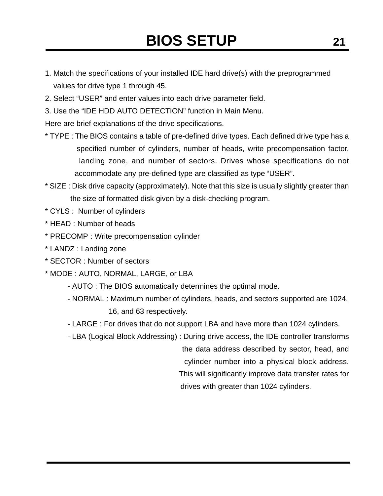- 1. Match the specifications of your installed IDE hard drive(s) with the preprogrammed values for drive type 1 through 45.
- 2. Select "USER" and enter values into each drive parameter field.
- 3. Use the "IDE HDD AUTO DETECTION" function in Main Menu.
- Here are brief explanations of the drive specifications.
- \* TYPE : The BIOS contains a table of pre-defined drive types. Each defined drive type has a specified number of cylinders, number of heads, write precompensation factor, landing zone, and number of sectors. Drives whose specifications do not accommodate any pre-defined type are classified as type "USER".
- \* SIZE : Disk drive capacity (approximately). Note that this size is usually slightly greater than the size of formatted disk given by a disk-checking program.
- \* CYLS : Number of cylinders
- \* HEAD : Number of heads
- \* PRECOMP : Write precompensation cylinder
- \* LANDZ : Landing zone
- \* SECTOR : Number of sectors
- \* MODE : AUTO, NORMAL, LARGE, or LBA
	- AUTO : The BIOS automatically determines the optimal mode.
	- NORMAL : Maximum number of cylinders, heads, and sectors supported are 1024, 16, and 63 respectively.
	- LARGE : For drives that do not support LBA and have more than 1024 cylinders.
	- LBA (Logical Block Addressing) : During drive access, the IDE controller transforms

 the data address described by sector, head, and cylinder number into a physical block address. This will significantly improve data transfer rates for drives with greater than 1024 cylinders.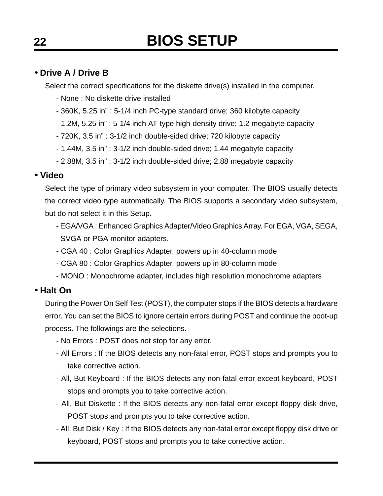## **22 BIOS SETUP**

#### • **Drive A / Drive B**

Select the correct specifications for the diskette drive(s) installed in the computer.

- None : No diskette drive installed
- 360K, 5.25 in" : 5-1/4 inch PC-type standard drive; 360 kilobyte capacity
- 1.2M, 5.25 in" : 5-1/4 inch AT-type high-density drive; 1.2 megabyte capacity
- 720K, 3.5 in" : 3-1/2 inch double-sided drive; 720 kilobyte capacity
- 1.44M, 3.5 in" : 3-1/2 inch double-sided drive; 1.44 megabyte capacity
- 2.88M, 3.5 in" : 3-1/2 inch double-sided drive; 2.88 megabyte capacity

#### • **Video**

Select the type of primary video subsystem in your computer. The BIOS usually detects the correct video type automatically. The BIOS supports a secondary video subsystem, but do not select it in this Setup.

- EGA/VGA : Enhanced Graphics Adapter/Video Graphics Array. For EGA, VGA, SEGA, SVGA or PGA monitor adapters.
- CGA 40 : Color Graphics Adapter, powers up in 40-column mode
- CGA 80 : Color Graphics Adapter, powers up in 80-column mode
- MONO : Monochrome adapter, includes high resolution monochrome adapters

#### • **Halt On**

During the Power On Self Test (POST), the computer stops if the BIOS detects a hardware error. You can set the BIOS to ignore certain errors during POST and continue the boot-up process. The followings are the selections.

- No Errors : POST does not stop for any error.
- All Errors : If the BIOS detects any non-fatal error, POST stops and prompts you to take corrective action.
- All, But Keyboard : If the BIOS detects any non-fatal error except keyboard, POST stops and prompts you to take corrective action.
- All, But Diskette : If the BIOS detects any non-fatal error except floppy disk drive, POST stops and prompts you to take corrective action.
- All, But Disk / Key : If the BIOS detects any non-fatal error except floppy disk drive or keyboard, POST stops and prompts you to take corrective action.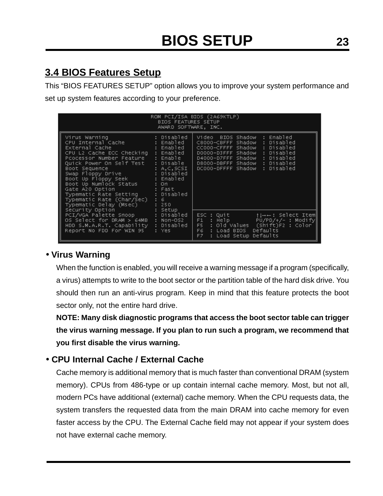## **3.4 BIOS Features Setup**

This "BIOS FEATURES SETUP" option allows you to improve your system performance and set up system features according to your preference.

|                                                                                                                                                                                                                                                                                                                                                                                                                   | BIOS FEATURES SETUP<br>AWARD SOFTWARE, INC.                                                                                                                                                                                          | ROM PCI/ISA BIOS (2A69KTLP)                                                                                                                                                                                                                   |
|-------------------------------------------------------------------------------------------------------------------------------------------------------------------------------------------------------------------------------------------------------------------------------------------------------------------------------------------------------------------------------------------------------------------|--------------------------------------------------------------------------------------------------------------------------------------------------------------------------------------------------------------------------------------|-----------------------------------------------------------------------------------------------------------------------------------------------------------------------------------------------------------------------------------------------|
| Virus Warning<br>CPU Internal Cache in the Cache<br>External Cache<br>CPU L2 Cache ECC Checking<br>Pcocessor Number Feature : Enable<br>Quick Power On Self Test<br>Boot Sequence<br>Boot Sequence<br>Swap Floppy Drive<br>Boot Up Floppy Seek : Enabled<br>Boot Up Numlock Status<br>Gate A20 Option - ------ : Fast<br>Typematic Rate Setting : Disabled<br>Typematic Rate (Char/Sec)<br>Typematic Delay (Msec) | : Disabled<br>: Enabled<br>and the second second second second second second second second second second second second second second seco<br>: Enabled<br>: Disable<br>: A, C, SCST<br>: Disabled<br>: On<br>$\mathbf{1}$ 6<br>: 250 | : Enabled<br>Video BIOS Shadow<br>: Disabled<br>C8000-CBFFF Shadow<br>: Disabled<br>CC000-CFFFF Shadow<br>: Disabled<br>D0000-D3FFF Shadow<br>D4000-D7FFF Shadow : Disabled<br>D8000-DBFFF Shadow : Disabled<br>DC000-DFFFF Shadow : Disabled |
| Security Option (Security Option)<br>PCI/VGA Palette Snoop (Bisabled)<br>OS Select for DRAM > 64MB : Non-OS2<br>HDD S.M.A.R.T. Capability : Disabled<br>Report No FDD For WIN 95                                                                                                                                                                                                                                  | : Yes                                                                                                                                                                                                                                | ESC : Quit<br>†i→←: Select Item∥<br>PU/PD/+/- : Modify<br>F1 : Help<br>F5 : Old Values (Shift)F2 : Color<br>Defaults<br>F6 : Load BIOS<br>F7<br>: Load Setup<br>Defaults                                                                      |

#### • **Virus Warning**

When the function is enabled, you will receive a warning message if a program (specifically, a virus) attempts to write to the boot sector or the partition table of the hard disk drive. You should then run an anti-virus program. Keep in mind that this feature protects the boot sector only, not the entire hard drive.

**NOTE: Many disk diagnostic programs that access the boot sector table can trigger the virus warning message. If you plan to run such a program, we recommend that you first disable the virus warning.**

#### • **CPU Internal Cache / External Cache**

Cache memory is additional memory that is much faster than conventional DRAM (system memory). CPUs from 486-type or up contain internal cache memory. Most, but not all, modern PCs have additional (external) cache memory. When the CPU requests data, the system transfers the requested data from the main DRAM into cache memory for even faster access by the CPU. The External Cache field may not appear if your system does not have external cache memory.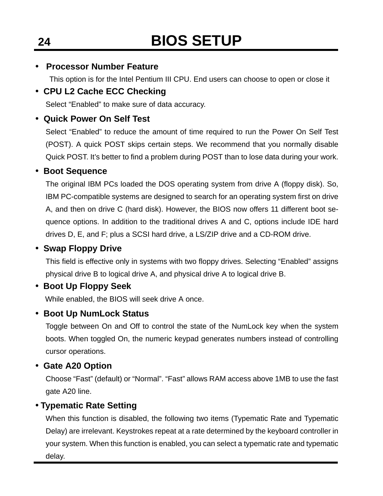#### • **Processor Number Feature**

This option is for the Intel Pentium III CPU. End users can choose to open or close it

#### • **CPU L2 Cache ECC Checking**

Select "Enabled" to make sure of data accuracy.

#### • **Quick Power On Self Test**

Select "Enabled" to reduce the amount of time required to run the Power On Self Test (POST). A quick POST skips certain steps. We recommend that you normally disable Quick POST. It's better to find a problem during POST than to lose data during your work.

#### • **Boot Sequence**

The original IBM PCs loaded the DOS operating system from drive A (floppy disk). So, IBM PC-compatible systems are designed to search for an operating system first on drive A, and then on drive C (hard disk). However, the BIOS now offers 11 different boot sequence options. In addition to the traditional drives A and C, options include IDE hard drives D, E, and F; plus a SCSI hard drive, a LS/ZIP drive and a CD-ROM drive.

#### • **Swap Floppy Drive**

This field is effective only in systems with two floppy drives. Selecting "Enabled" assigns physical drive B to logical drive A, and physical drive A to logical drive B.

#### • **Boot Up Floppy Seek**

While enabled, the BIOS will seek drive A once.

#### • **Boot Up NumLock Status**

Toggle between On and Off to control the state of the NumLock key when the system boots. When toggled On, the numeric keypad generates numbers instead of controlling cursor operations.

#### • **Gate A20 Option**

Choose "Fast" (default) or "Normal". "Fast" allows RAM access above 1MB to use the fast gate A20 line.

#### • **Typematic Rate Setting**

When this function is disabled, the following two items (Typematic Rate and Typematic Delay) are irrelevant. Keystrokes repeat at a rate determined by the keyboard controller in your system. When this function is enabled, you can select a typematic rate and typematic delay.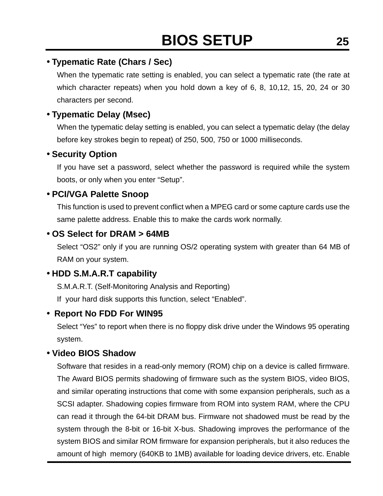#### • **Typematic Rate (Chars / Sec)**

When the typematic rate setting is enabled, you can select a typematic rate (the rate at which character repeats) when you hold down a key of 6, 8, 10,12, 15, 20, 24 or 30 characters per second.

#### • **Typematic Delay (Msec)**

When the typematic delay setting is enabled, you can select a typematic delay (the delay before key strokes begin to repeat) of 250, 500, 750 or 1000 milliseconds.

#### • **Security Option**

If you have set a password, select whether the password is required while the system boots, or only when you enter "Setup".

#### • **PCI/VGA Palette Snoop**

This function is used to prevent conflict when a MPEG card or some capture cards use the same palette address. Enable this to make the cards work normally.

#### • **OS Select for DRAM > 64MB**

Select "OS2" only if you are running OS/2 operating system with greater than 64 MB of RAM on your system.

#### • **HDD S.M.A.R.T capability**

S.M.A.R.T. (Self-Monitoring Analysis and Reporting)

If your hard disk supports this function, select "Enabled".

#### • **Report No FDD For WIN95**

Select "Yes" to report when there is no floppy disk drive under the Windows 95 operating system.

#### • **Video BIOS Shadow**

Software that resides in a read-only memory (ROM) chip on a device is called firmware. The Award BIOS permits shadowing of firmware such as the system BIOS, video BIOS, and similar operating instructions that come with some expansion peripherals, such as a SCSI adapter. Shadowing copies firmware from ROM into system RAM, where the CPU can read it through the 64-bit DRAM bus. Firmware not shadowed must be read by the system through the 8-bit or 16-bit X-bus. Shadowing improves the performance of the system BIOS and similar ROM firmware for expansion peripherals, but it also reduces the amount of high memory (640KB to 1MB) available for loading device drivers, etc. Enable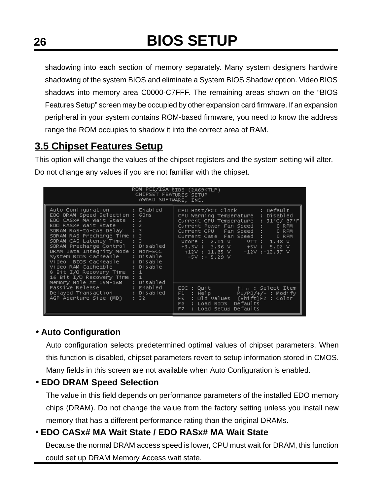## **26 BIOS SETUP**

shadowing into each section of memory separately. Many system designers hardwire shadowing of the system BIOS and eliminate a System BIOS Shadow option. Video BIOS shadows into memory area C0000-C7FFF. The remaining areas shown on the "BIOS Features Setup" screen may be occupied by other expansion card firmware. If an expansion peripheral in your system contains ROM-based firmware, you need to know the address range the ROM occupies to shadow it into the correct area of RAM.

## **3.5 Chipset Features Setup**

This option will change the values of the chipset registers and the system setting will alter. Do not change any values if you are not familiar with the chipset.

| CHIPSET FEATURES SETUP<br>AWARD SOFTWARE, INC.                                                                                                                                                                                                                                                                                                                                                                                                                                                                 | ROM PCI/ISA BIOS (2A69KTLP)                                                                                                                                                                                                                                                                                                               |
|----------------------------------------------------------------------------------------------------------------------------------------------------------------------------------------------------------------------------------------------------------------------------------------------------------------------------------------------------------------------------------------------------------------------------------------------------------------------------------------------------------------|-------------------------------------------------------------------------------------------------------------------------------------------------------------------------------------------------------------------------------------------------------------------------------------------------------------------------------------------|
| Auto Configuration : Enabled<br>EDO DRAM Speed Selection : 60ns<br>EDO CASX# MA Wait State : 2<br>EDO RASX# Wait State : 2<br>SDRAM RAS-to-CAS Delay : 3<br>SDRAM RAS Precharge Time : 3<br>SDRAM CAS Latency Time : 3<br>SDRAM Precharge Control : Disabled<br>DRAM Data Integrity Mode : Non-ECC<br>System BIOS Cacheable : Disable<br>Video BIOS Cacheable : Disable<br>Video RAM Cacheable : Disable<br>8 Bit I/O Recovery Time   : 1<br>16 Bit I/O Recovery Time : 1<br>Memory Hole At 15M-16M : Disabled | CPU Host/PCI Clock : Default<br>CPU Warning Temperature : Disabled<br>Current CPU Temperature : 31°C/ 87°F<br>Current Power Fan Speed : 0 RPM<br>Current CPU Fan Speed :<br>O RPM<br>Current Case Fan Speed : 0 RPM<br>Vcore: 2.01 V $VTT$ : 1.48 V<br>+3.3V: 3.36 V +5V: 5.02 V<br>$+12V$ : 11.85 V $-12V$ : -12.37 V<br>$-SV := 5.29$ V |
| Passive Release : Enabled<br>Delayed Transaction : Disabled<br>AGP Aperture Size (MB) : 32                                                                                                                                                                                                                                                                                                                                                                                                                     | $ESC$ : Quit<br>$\dagger \rightarrow - :$ Select Item<br>$F1$ : Help $P0/PD/+/-$ : Modify<br>: Old Values (Shift)F2 : Color<br>F5<br>Defaults<br>: Load BIOS<br>F6<br>FZ.<br>: Load Setup Defaults                                                                                                                                        |

### • **Auto Configuration**

Auto configuration selects predetermined optimal values of chipset parameters. When this function is disabled, chipset parameters revert to setup information stored in CMOS. Many fields in this screen are not available when Auto Configuration is enabled.

#### • **EDO DRAM Speed Selection**

The value in this field depends on performance parameters of the installed EDO memory chips (DRAM). Do not change the value from the factory setting unless you install new memory that has a different performance rating than the original DRAMs.

#### • **EDO CASx# MA Wait State / EDO RASx# MA Wait State**

Because the normal DRAM access speed is lower, CPU must wait for DRAM, this function could set up DRAM Memory Access wait state.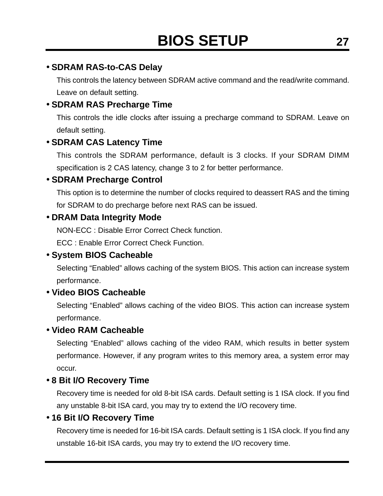#### • **SDRAM RAS-to-CAS Delay**

This controls the latency between SDRAM active command and the read/write command. Leave on default setting.

#### • **SDRAM RAS Precharge Time**

This controls the idle clocks after issuing a precharge command to SDRAM. Leave on default setting.

#### • **SDRAM CAS Latency Time**

This controls the SDRAM performance, default is 3 clocks. If your SDRAM DIMM specification is 2 CAS latency, change 3 to 2 for better performance.

#### • **SDRAM Precharge Control**

This option is to determine the number of clocks required to deassert RAS and the timing for SDRAM to do precharge before next RAS can be issued.

#### • **DRAM Data Integrity Mode**

NON-ECC : Disable Error Correct Check function.

ECC : Enable Error Correct Check Function.

#### • **System BIOS Cacheable**

Selecting "Enabled" allows caching of the system BIOS. This action can increase system performance.

#### • **Video BIOS Cacheable**

Selecting "Enabled" allows caching of the video BIOS. This action can increase system performance.

#### • **Video RAM Cacheable**

Selecting "Enabled" allows caching of the video RAM, which results in better system performance. However, if any program writes to this memory area, a system error may occur.

#### • **8 Bit I/O Recovery Time**

Recovery time is needed for old 8-bit ISA cards. Default setting is 1 ISA clock. If you find any unstable 8-bit ISA card, you may try to extend the I/O recovery time.

#### • **16 Bit I/O Recovery Time**

Recovery time is needed for 16-bit ISA cards. Default setting is 1 ISA clock. If you find any unstable 16-bit ISA cards, you may try to extend the I/O recovery time.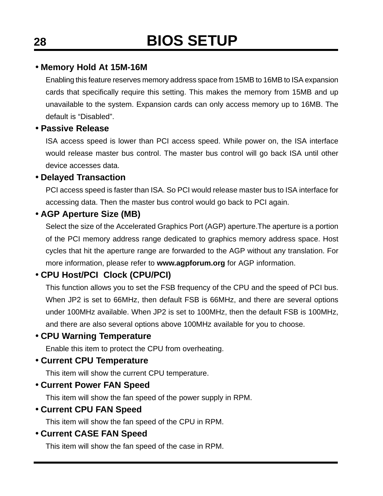#### • **Memory Hold At 15M-16M**

Enabling this feature reserves memory address space from 15MB to 16MB to ISA expansion cards that specifically require this setting. This makes the memory from 15MB and up unavailable to the system. Expansion cards can only access memory up to 16MB. The default is "Disabled".

#### • **Passive Release**

ISA access speed is lower than PCI access speed. While power on, the ISA interface would release master bus control. The master bus control will go back ISA until other device accesses data.

#### • **Delayed Transaction**

PCI access speed is faster than ISA. So PCI would release master bus to ISA interface for accessing data. Then the master bus control would go back to PCI again.

#### • **AGP Aperture Size (MB)**

Select the size of the Accelerated Graphics Port (AGP) aperture.The aperture is a portion of the PCI memory address range dedicated to graphics memory address space. Host cycles that hit the aperture range are forwarded to the AGP without any translation. For more information, please refer to **www.agpforum.org** for AGP information.

### • **CPU Host/PCI Clock (CPU/PCI)**

This function allows you to set the FSB frequency of the CPU and the speed of PCI bus. When JP2 is set to 66MHz, then default FSB is 66MHz, and there are several options under 100MHz available. When JP2 is set to 100MHz, then the default FSB is 100MHz, and there are also several options above 100MHz available for you to choose.

#### • **CPU Warning Temperature**

Enable this item to protect the CPU from overheating.

#### • **Current CPU Temperature**

This item will show the current CPU temperature.

#### • **Current Power FAN Speed**

This item will show the fan speed of the power supply in RPM.

#### • **Current CPU FAN Speed**

This item will show the fan speed of the CPU in RPM.

#### • **Current CASE FAN Speed**

This item will show the fan speed of the case in RPM.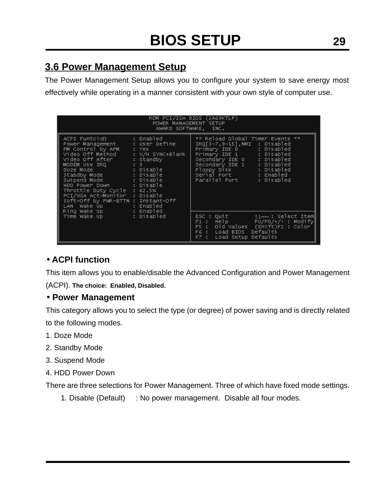### **3.6 Power Management Setup**

The Power Management Setup allows you to configure your system to save energy most effectively while operating in a manner consistent with your own style of computer use.

|                                                                                                                                                                                                                                                                                                                                                         | POWER MANAGEMENT SETUP<br>AWARD SOFTWARE, INC. | ROM PCI/ISA BIOS (2A69KTLP)                                                                                                                                                                                                                                                                                                                  |
|---------------------------------------------------------------------------------------------------------------------------------------------------------------------------------------------------------------------------------------------------------------------------------------------------------------------------------------------------------|------------------------------------------------|----------------------------------------------------------------------------------------------------------------------------------------------------------------------------------------------------------------------------------------------------------------------------------------------------------------------------------------------|
| ACPI Funtcion i Enabled<br>Power Management : User Define<br>PM Control by APM = : Yes = = = = =<br>Video Off Method : V/H SYNC+Blank<br>Video Off After : Standby<br>HDD Power Down : Disable<br>Throttle Duty Cycle : 62.5%<br>PCI/VGA Act-Monitor : Disable<br>Soft-Off by PWR-BTTN : Instant-Off<br>LAN Wake Up : Enabled<br>Ring Wake Up : Enabled |                                                | ** Reload Global Timer Events **<br>$IRQ[3-7, 9-15]$ , NMI : Disabled<br>Primary IDE 0 : Disabled<br>Primary IDE 1 : Disabled<br>Secondary IDE 0 : Disabled<br>Secondary IDE 1 : Disabled<br>Floppy Disk : Disabled<br>Stabdby Mode : Disable   Serial Port : Enabled<br>Suspend Mode ______: Disable _______   Parallel Port ____: Disabled |
| Time Wake Up [15] : Disabled                                                                                                                                                                                                                                                                                                                            |                                                | F5 : Old Values (Shift)F2 : Color<br>F6 : Load BIOS Defaults<br>F7 : Load Setup Defaults                                                                                                                                                                                                                                                     |

#### • **ACPI function**

This item allows you to enable/disable the Advanced Configuration and Power Management (ACPI). **The choice: Enabled, Disabled.**

#### • **Power Management**

This category allows you to select the type (or degree) of power saving and is directly related to the following modes.

- 1. Doze Mode
- 2. Standby Mode
- 3. Suspend Mode
- 4. HDD Power Down

There are three selections for Power Management. Three of which have fixed mode settings.

1. Disable (Default) : No power management. Disable all four modes.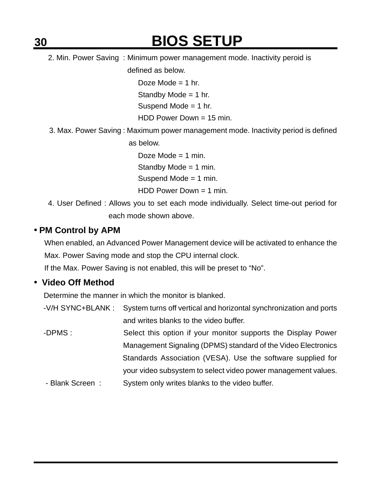## **30 BIOS SETUP**

2. Min. Power Saving : Minimum power management mode. Inactivity peroid is

defined as below.

Doze Mode  $= 1$  hr.

Standby Mode = 1 hr.

Suspend Mode = 1 hr.

HDD Power Down = 15 min.

3. Max. Power Saving : Maximum power management mode. Inactivity period is defined

as below.

Doze Mode = 1 min. Standby Mode = 1 min. Suspend Mode  $= 1$  min. HDD Power Down = 1 min.

4. User Defined : Allows you to set each mode individually. Select time-out period for each mode shown above.

#### • **PM Control by APM**

When enabled, an Advanced Power Management device will be activated to enhance the Max. Power Saving mode and stop the CPU internal clock.

If the Max. Power Saving is not enabled, this will be preset to "No".

#### • **Video Off Method**

Determine the manner in which the monitor is blanked.

|                 | -V/H SYNC+BLANK : System turns off vertical and horizontal synchronization and ports |
|-----------------|--------------------------------------------------------------------------------------|
|                 | and writes blanks to the video buffer.                                               |
| -DPMS:          | Select this option if your monitor supports the Display Power                        |
|                 | Management Signaling (DPMS) standard of the Video Electronics                        |
|                 | Standards Association (VESA). Use the software supplied for                          |
|                 | your video subsystem to select video power management values.                        |
| - Blank Screen: | System only writes blanks to the video buffer.                                       |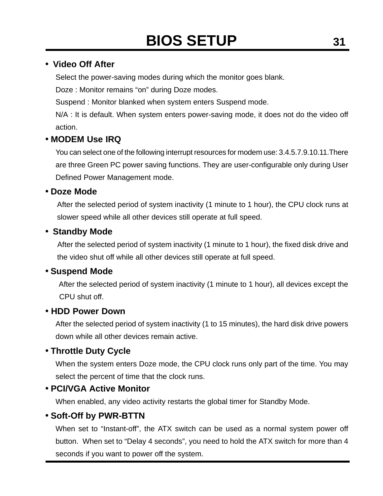#### • **Video Off After**

Select the power-saving modes during which the monitor goes blank.

Doze : Monitor remains "on" during Doze modes.

Suspend : Monitor blanked when system enters Suspend mode.

N/A : It is default. When system enters power-saving mode, it does not do the video off action.

#### • **MODEM Use IRQ**

You can select one of the following interrupt resources for modem use: 3.4.5.7.9.10.11.There are three Green PC power saving functions. They are user-configurable only during User Defined Power Management mode.

#### • **Doze Mode**

 After the selected period of system inactivity (1 minute to 1 hour), the CPU clock runs at slower speed while all other devices still operate at full speed.

#### • **Standby Mode**

 After the selected period of system inactivity (1 minute to 1 hour), the fixed disk drive and the video shut off while all other devices still operate at full speed.

#### • **Suspend Mode**

 After the selected period of system inactivity (1 minute to 1 hour), all devices except the CPU shut off.

#### • **HDD Power Down**

After the selected period of system inactivity (1 to 15 minutes), the hard disk drive powers down while all other devices remain active.

#### • **Throttle Duty Cycle**

When the system enters Doze mode, the CPU clock runs only part of the time. You may select the percent of time that the clock runs.

#### • **PCI/VGA Active Monitor**

When enabled, any video activity restarts the global timer for Standby Mode.

#### • **Soft-Off by PWR-BTTN**

When set to "Instant-off", the ATX switch can be used as a normal system power off button. When set to "Delay 4 seconds", you need to hold the ATX switch for more than 4 seconds if you want to power off the system.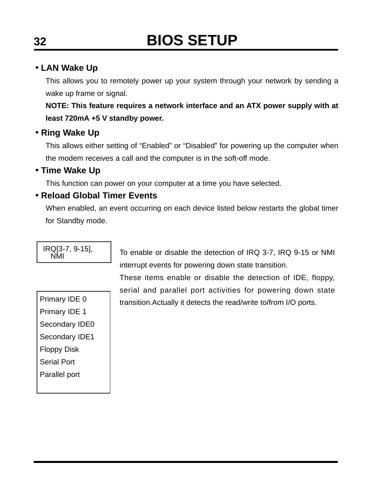## **32 BIOS SETUP**

#### • **LAN Wake Up**

This allows you to remotely power up your system through your network by sending a wake up frame or signal.

**NOTE: This feature requires a network interface and an ATX power supply with at least 720mA +5 V standby power.**

#### • **Ring Wake Up**

This allows either setting of "Enabled" or "Disabled" for powering up the computer when the modem receives a call and the computer is in the soft-off mode.

#### • **Time Wake Up**

This function can power on your computer at a time you have selected.

#### • **Reload Global Timer Events**

When enabled, an event occurring on each device listed below restarts the global timer for Standby mode.

IRQ[3-7, 9-15], NMI

Primary IDE 0 Primary IDE 1 Secondary IDE0 Secondary IDE1 Floppy Disk Serial Port Parallel port

To enable or disable the detection of IRQ 3-7, IRQ 9-15 or NMI interrupt events for powering down state transition.

These items enable or disable the detection of IDE, floppy, serial and parallel port activities for powering down state transition.Actually it detects the read/write to/from I/O ports.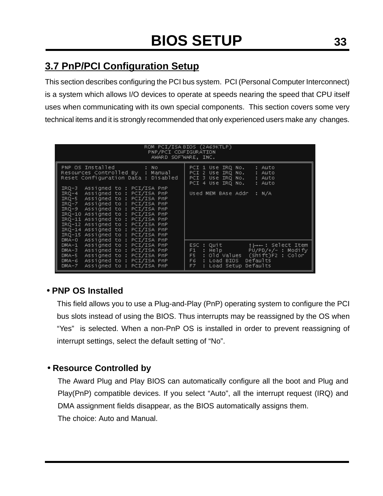## **3.7 PnP/PCI Configuration Setup**

This section describes configuring the PCI bus system. PCI (Personal Computer Interconnect) is a system which allows I/O devices to operate at speeds nearing the speed that CPU itself uses when communicating with its own special components. This section covers some very technical items and it is strongly recommended that only experienced users make any changes.

| ROM PCI/ISA BIOS (2A69KTLP)<br>PNP/PCI COIFIGURATION<br>AWARD SOFTWARE, INC.                                                                                                                                                                                                                                                                                                                                                                                                                                                                      |                                                                                                                                                                       |  |  |  |  |
|---------------------------------------------------------------------------------------------------------------------------------------------------------------------------------------------------------------------------------------------------------------------------------------------------------------------------------------------------------------------------------------------------------------------------------------------------------------------------------------------------------------------------------------------------|-----------------------------------------------------------------------------------------------------------------------------------------------------------------------|--|--|--|--|
| PNP OS Installed<br>$\sim$ $\sim$ $\sim$ $\sim$ $\sim$ $\sim$<br>Resources Controlled By  : Manual<br>Reset Configuration Data : Disabled<br>Assigned to : PCI/ISA PnP<br>$IRQ-3$<br>Assigned to : PCI/ISA PnP<br>$IRQ-4$<br>IRQ-5 Assigned to: PCI/ISA PnP<br>IRQ-7 Assigned to: PCI/ISA PnP<br>IRQ-9 Assigned to: PCI/ISA PnP<br>IRQ-10 Assigned to: PCI/ISA PnP<br>IRQ-11 Assigned to: PCI/ISA PnP<br>IRQ-12 Assigned to: PCI/ISA PnP<br>IRQ-14 Assigned to: PCI/ISA PnP<br>IRQ-15 Assigned to : PCI/ISA PnP<br>DMA-0 Assigned to: PCI/ISA PnP | PCI 1 Use IRQ No.<br>: Auto<br>PCI 2 Use IRQ No.<br>: Auto<br>PCI 3 Use IRQ No.<br>: Auto<br>PCI 4 Use IRQ No.<br>: Auto<br>Used MEM BAse Addr<br>: N/A               |  |  |  |  |
| DMA-1 Assigned to: PCI/ISA PnP<br>DMA-3 Assigned to: PCI/ISA PnP<br>DMA-5 Assigned to: PCI/ISA PnP<br>Assigned to: PCI/ISA PnP<br>DMA-6<br>Assigned to: PCI/ISA PnP<br>$DMA - 7$                                                                                                                                                                                                                                                                                                                                                                  | ESC : Quit<br>†l→←: Select Item<br>F1 : Help PU/PD/+/- : Modify<br>F5 : Old Values (Shift)F2 : Color<br>Defaults<br>F6 : Load BIOS<br>: Load Setup<br>Defaults<br>F7. |  |  |  |  |

#### • **PNP OS Installed**

This field allows you to use a Plug-and-Play (PnP) operating system to configure the PCI bus slots instead of using the BIOS. Thus interrupts may be reassigned by the OS when "Yes" is selected. When a non-PnP OS is installed in order to prevent reassigning of interrupt settings, select the default setting of "No".

#### • **Resource Controlled by**

The Award Plug and Play BIOS can automatically configure all the boot and Plug and Play(PnP) compatible devices. If you select "Auto", all the interrupt request (IRQ) and DMA assignment fields disappear, as the BIOS automatically assigns them. The choice: Auto and Manual.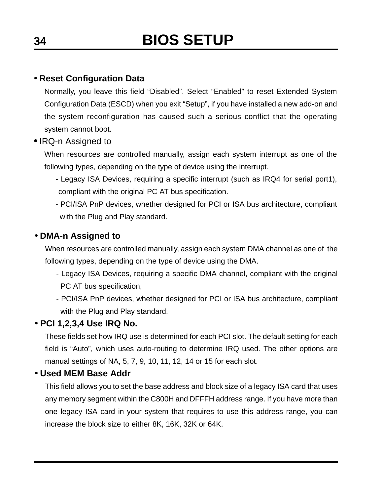#### • **Reset Configuration Data**

Normally, you leave this field "Disabled". Select "Enabled" to reset Extended System Configuration Data (ESCD) when you exit "Setup", if you have installed a new add-on and the system reconfiguration has caused such a serious conflict that the operating system cannot boot.

#### • IRQ-n Assigned to

When resources are controlled manually, assign each system interrupt as one of the following types, depending on the type of device using the interrupt.

- Legacy ISA Devices, requiring a specific interrupt (such as IRQ4 for serial port1), compliant with the original PC AT bus specification.
- PCI/ISA PnP devices, whether designed for PCI or ISA bus architecture, compliant with the Plug and Play standard.

#### • **DMA-n Assigned to**

When resources are controlled manually, assign each system DMA channel as one of the following types, depending on the type of device using the DMA.

- Legacy ISA Devices, requiring a specific DMA channel, compliant with the original PC AT bus specification,
- PCI/ISA PnP devices, whether designed for PCI or ISA bus architecture, compliant with the Plug and Play standard.

#### • **PCI 1,2,3,4 Use IRQ No.**

These fields set how IRQ use is determined for each PCI slot. The default setting for each field is "Auto", which uses auto-routing to determine IRQ used. The other options are manual settings of NA, 5, 7, 9, 10, 11, 12, 14 or 15 for each slot.

#### • **Used MEM Base Addr**

This field allows you to set the base address and block size of a legacy ISA card that uses any memory segment within the C800H and DFFFH address range. If you have more than one legacy ISA card in your system that requires to use this address range, you can increase the block size to either 8K, 16K, 32K or 64K.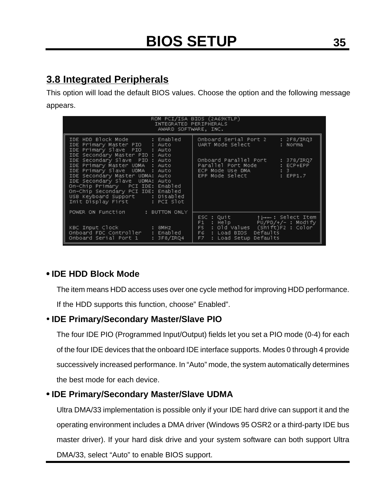## **3.8 Integrated Peripherals**

This option will load the default BIOS values. Choose the option and the following message appears.

| ROM PCI/ISA BIOS (2A69KTLP)<br>INTEGRATED PERIPHERALS<br>AWARD SOFTWARE, INC.                                                                                                                                                                                                                                                                                                              |                                                                                                                                                                                                  |                                     |  |  |  |
|--------------------------------------------------------------------------------------------------------------------------------------------------------------------------------------------------------------------------------------------------------------------------------------------------------------------------------------------------------------------------------------------|--------------------------------------------------------------------------------------------------------------------------------------------------------------------------------------------------|-------------------------------------|--|--|--|
| IDE HDD Block Mode : Enabled<br>IDE Primary Master PIO : Auto<br>IDE Primary Slave PIO : Auto                                                                                                                                                                                                                                                                                              | Onboard Serial Port 2<br>UART Mode Select                                                                                                                                                        | : 2F8/IRQ3<br>: Norma               |  |  |  |
| IDE Secondary Master PIO : Auto<br>IDE Secondary Slave PIO : Auto<br>IDE Primary Master UDMA : Auto<br>IDE Primary Slave UDMA : Auto<br>IDE Secondary Master UDMA: Auto<br>IDE Secondary Slave UDMA: Auto<br>On-Chip Primary PCI IDE: Enabled<br>On-Chip Secondary PCI IDE: Enabled<br>USB Keyboard Support : Disabled<br>Init Display First : PCI Slot<br>POWER ON Function : BUTTON ONLY | Onboard Parallel Port<br>Parallel Port Mode<br>ECP Mode Use DMA 3<br>EPP Mode Select in the select that the select that the select that the select that the select that the select               | : 378/IRQ7<br>: ECP+EPP<br>: EPP1.7 |  |  |  |
| KBC Input Clock : 8MHz<br>Onboard FDC Controller : Enabled<br>Onboard Serial Port 1<br>: $3F8/IRQ4$                                                                                                                                                                                                                                                                                        | ESC : Quit $\frac{1}{1}$ + + : Select Item<br>$F1$ : $\text{He1p}$ $\text{Pu/PD}/+/-$ : Modify<br>F5 : Old Values (Shift)F2 : Color<br>F6 : Load BIOS<br>Defaults<br>F7 : Load Setup<br>Defaults |                                     |  |  |  |

#### • **IDE HDD Block Mode**

The item means HDD access uses over one cycle method for improving HDD performance.

If the HDD supports this function, choose" Enabled".

#### • **IDE Primary/Secondary Master/Slave PIO**

The four IDE PIO (Programmed Input/Output) fields let you set a PIO mode (0-4) for each of the four IDE devices that the onboard IDE interface supports. Modes 0 through 4 provide successively increased performance. In "Auto" mode, the system automatically determines the best mode for each device.

#### • **IDE Primary/Secondary Master/Slave UDMA**

Ultra DMA/33 implementation is possible only if your IDE hard drive can support it and the operating environment includes a DMA driver (Windows 95 OSR2 or a third-party IDE bus master driver). If your hard disk drive and your system software can both support Ultra DMA/33, select "Auto" to enable BIOS support.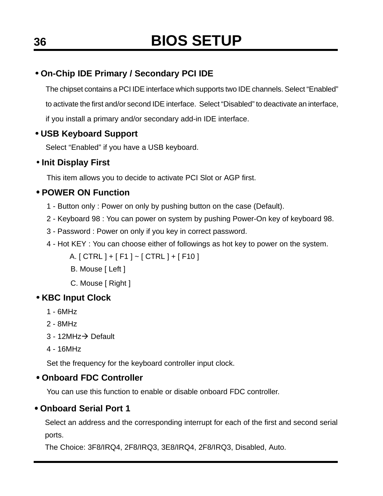### • **On-Chip IDE Primary / Secondary PCI IDE**

The chipset contains a PCI IDE interface which supports two IDE channels. Select "Enabled" to activate the first and/or second IDE interface. Select "Disabled" to deactivate an interface,

if you install a primary and/or secondary add-in IDE interface.

#### • **USB Keyboard Support**

Select "Enabled" if you have a USB keyboard.

#### • **Init Display First**

This item allows you to decide to activate PCI Slot or AGP first.

### • **POWER ON Function**

- 1 Button only : Power on only by pushing button on the case (Default).
- 2 Keyboard 98 : You can power on system by pushing Power-On key of keyboard 98.
- 3 Password : Power on only if you key in correct password.
- 4 Hot KEY : You can choose either of followings as hot key to power on the system.

A. [ CTRL ] + [ F1 ] ~ [ CTRL ] + [ F10 ]

- B. Mouse [ Left ]
- C. Mouse [ Right ]

### • **KBC Input Clock**

- 1 6MHz
- 2 8MHz
- $3 12M$ Hz $\rightarrow$  Default
- 4 16MHz

Set the frequency for the keyboard controller input clock.

#### • **Onboard FDC Controller**

You can use this function to enable or disable onboard FDC controller.

#### • **Onboard Serial Port 1**

Select an address and the corresponding interrupt for each of the first and second serial ports.

The Choice: 3F8/IRQ4, 2F8/IRQ3, 3E8/IRQ4, 2F8/IRQ3, Disabled, Auto.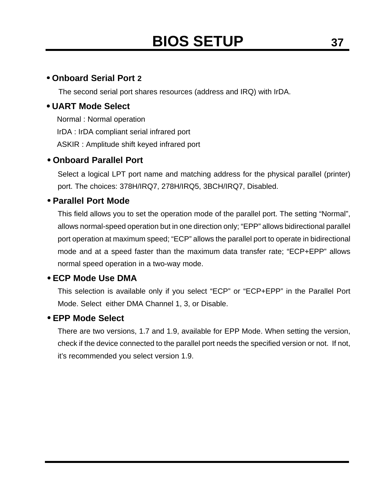#### • **Onboard Serial Port 2**

The second serial port shares resources (address and IRQ) with IrDA.

#### • **UART Mode Select**

Normal : Normal operation IrDA : IrDA compliant serial infrared port

ASKIR : Amplitude shift keyed infrared port

#### • **Onboard Parallel Port**

Select a logical LPT port name and matching address for the physical parallel (printer) port. The choices: 378H/IRQ7, 278H/IRQ5, 3BCH/IRQ7, Disabled.

#### • **Parallel Port Mode**

This field allows you to set the operation mode of the parallel port. The setting "Normal", allows normal-speed operation but in one direction only; "EPP" allows bidirectional parallel port operation at maximum speed; "ECP" allows the parallel port to operate in bidirectional mode and at a speed faster than the maximum data transfer rate; "ECP+EPP" allows normal speed operation in a two-way mode.

#### • **ECP Mode Use DMA**

This selection is available only if you select "ECP" or "ECP+EPP" in the Parallel Port Mode. Select either DMA Channel 1, 3, or Disable.

#### • **EPP Mode Select**

There are two versions, 1.7 and 1.9, available for EPP Mode. When setting the version, check if the device connected to the parallel port needs the specified version or not. If not, it's recommended you select version 1.9.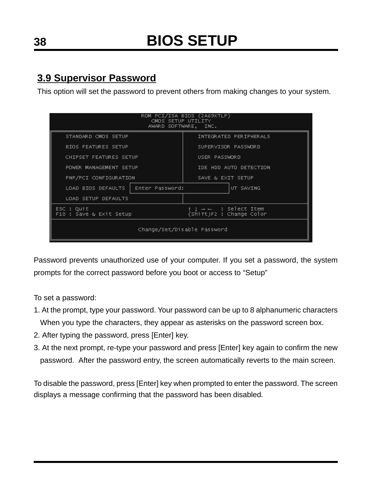## **3.9 Supervisor Password**

This option will set the password to prevent others from making changes to your system.

| ROM PCI/ISA BIOS (2A69KTLP)<br>CMOS SETUP UTILITY<br>AWARD SOFTWARE, INC. |                                                                      |  |  |  |
|---------------------------------------------------------------------------|----------------------------------------------------------------------|--|--|--|
| STANDARD CMOS SETUP                                                       | INTEGRATED PERIPHERALS                                               |  |  |  |
| <b>BIOS FEATURES SETUP</b>                                                | SUPERVISOR PASSWORD                                                  |  |  |  |
| CHIPSET FEATURES SETUP                                                    | USER PASSWORD                                                        |  |  |  |
| POWER MANAGEMENT SETUP                                                    | IDE HDD AUTO DETECTION                                               |  |  |  |
| PNP/PCI CONFIGURATION                                                     | SAVE & EXIT SETUP                                                    |  |  |  |
| LOAD BIOS DEFAULTS   Enter Password:                                      | UT SAVING                                                            |  |  |  |
| LOAD SETUP DEFAULTS                                                       |                                                                      |  |  |  |
| $ESC$ : Quit<br>F10 : Save & Exit Setup                                   | $\rightarrow$ $\leftarrow$ : Select Item<br>(Shitt)F2 : Change Color |  |  |  |
| Change/Set/Disable Password                                               |                                                                      |  |  |  |

Password prevents unauthorized use of your computer. If you set a password, the system prompts for the correct password before you boot or access to "Setup"

To set a password:

- 1. At the prompt, type your password. Your password can be up to 8 alphanumeric characters When you type the characters, they appear as asterisks on the password screen box.
- 2. After typing the password, press [Enter] key.
- 3. At the next prompt, re-type your password and press [Enter] key again to confirm the new password. After the password entry, the screen automatically reverts to the main screen.

To disable the password, press [Enter] key when prompted to enter the password. The screen displays a message confirming that the password has been disabled.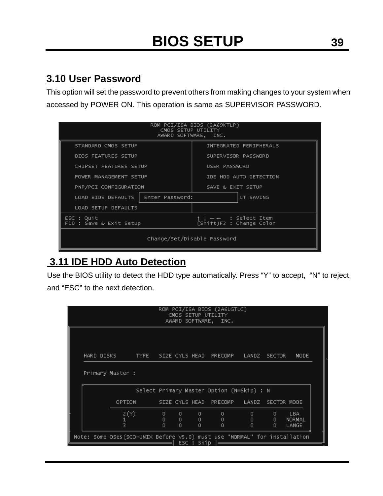## **3.10 User Password**

This option will set the password to prevent others from making changes to your system when accessed by POWER ON. This operation is same as SUPERVISOR PASSWORD.

| ROM PCI/ISA BIOS (2A69KTLP)<br>CMOS SETUP UTILITY<br>AWARD SOFTWARE, INC. |                                                             |  |  |  |
|---------------------------------------------------------------------------|-------------------------------------------------------------|--|--|--|
| STANDARD CMOS SETUP                                                       | INTEGRATED PERIPHERALS                                      |  |  |  |
| <b>BIOS FEATURES SETUP</b>                                                | SUPERVISOR PASSWORD                                         |  |  |  |
| CHIPSET FEATURES SETUP                                                    | USER PASSWORD                                               |  |  |  |
| POWER MANAGEMENT SETUP                                                    | IDE HDD AUTO DETECTION                                      |  |  |  |
| PNP/PCI CONFIGURATION                                                     | SAVE & EXIT SETUP                                           |  |  |  |
| Enter Password:<br>LOAD BIOS DEFAULTS                                     | UT SAVING                                                   |  |  |  |
| LOAD SETUP DEFAULTS                                                       |                                                             |  |  |  |
| $ESC$ : Quit<br>F10 : Save & Exit Setup                                   | $1 \rightarrow -$ : Select Item<br>(Shitt)F2 : Change Color |  |  |  |
| Change/Set/Disable Password                                               |                                                             |  |  |  |

## **3.11 IDE HDD Auto Detection**

Use the BIOS utility to detect the HDD type automatically. Press "Y" to accept, "N" to reject, and "ESC" to the next detection.

| ROM PCI/ISA BIOS (2A6LGTLC)<br>CMOS SETUP UTILITY<br>AWARD SOFTWARE, INC. |  |  |                         |  |                        |                       |                             |                                                                          |                                             |                                    |                         |
|---------------------------------------------------------------------------|--|--|-------------------------|--|------------------------|-----------------------|-----------------------------|--------------------------------------------------------------------------|---------------------------------------------|------------------------------------|-------------------------|
|                                                                           |  |  |                         |  |                        |                       |                             |                                                                          |                                             |                                    |                         |
|                                                                           |  |  | HARD DISKS <b>Andre</b> |  |                        |                       |                             | TYPE SIZE CYLS HEAD PRECOMP LANDZ                                        |                                             | <b>SECTOR</b>                      | <b>MODE</b>             |
|                                                                           |  |  | Primary Master :        |  |                        |                       |                             |                                                                          |                                             |                                    |                         |
|                                                                           |  |  |                         |  |                        |                       |                             | Select Primary Master Option (N=Skip) : N                                |                                             |                                    |                         |
|                                                                           |  |  | OPTION                  |  |                        |                       |                             | SIZE CYLS HEAD PRECOMP - LANDZ - SECTOR MODE                             |                                             |                                    |                         |
|                                                                           |  |  | 2 (Y).<br>1             |  | $0<\infty$<br>0<<br>0. | $0 \leq \alpha$<br>0. | $\circ$<br>$0$ 0<br>$\circ$ | $\mathbf{0}$<br>$\mathbf{0}$<br>$\Omega$                                 | $\mathbf{0}$<br>$0 \leq \alpha$<br>$\Omega$ | $\mathbf{0}$<br>$\mathbf{0}$<br>Ω. | LBA.<br>NORMAL<br>LANGE |
|                                                                           |  |  |                         |  |                        |                       | ESC : Skip                  | Note: Some OSes(SCO-UNIX Before v5.0) must use "NORMAL" for installation |                                             |                                    |                         |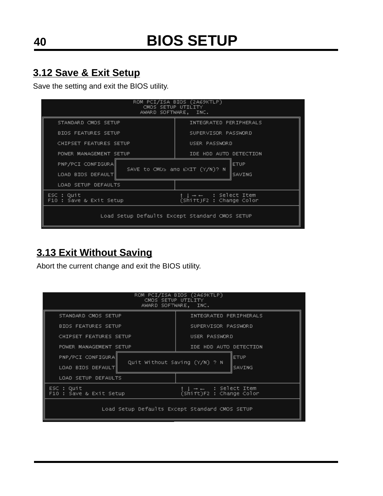## **3.12 Save & Exit Setup**

Save the setting and exit the BIOS utility.

| ROM PCI/ISA BIOS (2A69KTLP)<br>CMOS SETUP UTILITY<br>AWARD SOFTWARE, INC.                                      |                                               |  |  |  |
|----------------------------------------------------------------------------------------------------------------|-----------------------------------------------|--|--|--|
| STANDARD CMOS SETUP                                                                                            | INTEGRATED PERIPHERALS                        |  |  |  |
| <b>BIOS FEATURES SETUP</b>                                                                                     | SUPERVISOR PASSWORD                           |  |  |  |
| CHIPSET FEATURES SETUP                                                                                         | USER PASSWORD                                 |  |  |  |
| POWER MANAGEMENT SETUP                                                                                         | IDE HDD AUTO DETECTION                        |  |  |  |
| <b>ETUP</b><br>PNP/PCI CONFIGURA<br>SAVE to CMOS and $EXIT$ $(Y/N)$ ? N<br>LOAD BIOS DEFAULT<br><b>ISAVING</b> |                                               |  |  |  |
| <b>LOAD SETUP DEFAULTS</b>                                                                                     |                                               |  |  |  |
| $ESC$ : Quit<br>F10 : Save & Exit Setup                                                                        | $+$ : Select Item<br>(Shitt)F2 : Change Color |  |  |  |
| Load Setup Defaults Except Standard CMOS SETUP                                                                 |                                               |  |  |  |

## **3.13 Exit Without Saving**

Abort the current change and exit the BIOS utility.

| ROM PCI/ISA BIOS (2A69KTLP)<br>CMOS SETUP UTILITY<br>AWARD SOFTWARE, INC. |                                                   |  |  |  |
|---------------------------------------------------------------------------|---------------------------------------------------|--|--|--|
| STANDARD CMOS SETUP                                                       | INTEGRATED PERIPHERALS                            |  |  |  |
| BIOS FEATURES SETUP                                                       | SUPERVISOR PASSWORD                               |  |  |  |
| CHIPSET FEATURES SETUP                                                    | USER PASSWORD                                     |  |  |  |
| POWER MANAGEMENT SETUP                                                    | IDE HDD AUTO DETECTION                            |  |  |  |
| PNP/PCI CONFIGURA                                                         | <b>LETUP</b>                                      |  |  |  |
| LOAD BIOS DEFAULT                                                         | Quit Without Saving (Y/N) ? N<br>İSAVING          |  |  |  |
| LOAD SETUP DEFAULTS                                                       |                                                   |  |  |  |
| ESC : Quit<br>F10 : Save & Exit Setup                                     | $1 + 1$ : Select Item<br>(Shift)F2 : Change Color |  |  |  |
| Load Setup Defaults Except Standard CMOS SETUP                            |                                                   |  |  |  |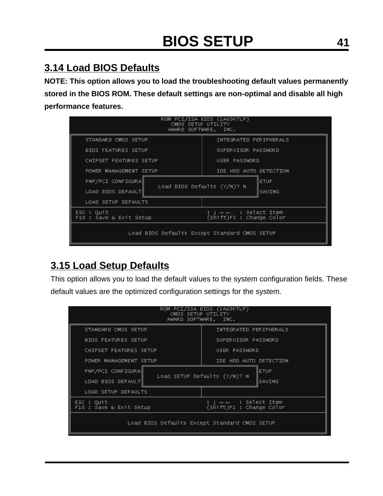### **3.14 Load BIOS Defaults**

**NOTE: This option allows you to load the troubleshooting default values permanently stored in the BIOS ROM. These default settings are non-optimal and disable all high performance features.**

| ROM PCI/ISA BIOS (2A69KTLP)<br>CMOS SETUP UTILITY<br>AWARD SOFTWARE, INC. |                                                                      |  |  |  |
|---------------------------------------------------------------------------|----------------------------------------------------------------------|--|--|--|
| STANDARD CMOS SETUP                                                       | INTEGRATED PERIPHERALS                                               |  |  |  |
| <b>BIOS FEATURES SETUP</b>                                                | SUPERVISOR PASSWORD                                                  |  |  |  |
| CHIPSET FEATURES SETUP                                                    | USER PASSWORD                                                        |  |  |  |
| POWER MANAGEMENT SETUP                                                    | IDE HDD AUTO DETECTION                                               |  |  |  |
| <b>ETUP</b><br>PNP/PCI CONFIGURA                                          |                                                                      |  |  |  |
| Load BIOS Defaults $(Y/N)$ ? N<br>LOAD BIOS DEFAULT<br>SAVING             |                                                                      |  |  |  |
| LOAD SETUP DEFAULTS                                                       |                                                                      |  |  |  |
| $ESC$ : Quit<br>F10 : Save & Exit Setup                                   | $\rightarrow$ $\leftarrow$ : Select Item<br>(Shift)F2 : Change Color |  |  |  |
| Load BIOS Defaults Except Standard CMOS SETUP                             |                                                                      |  |  |  |

## **3.15 Load Setup Defaults**

This option allows you to load the default values to the system configuration fields. These default values are the optimized configuration settings for the system.

| ROM PCI/ISA BIOS (2A69KTLP)<br>CMOS SETUP UTILITY<br>AWARD SOFTWARE, INC.                                 |                                                                      |  |  |  |
|-----------------------------------------------------------------------------------------------------------|----------------------------------------------------------------------|--|--|--|
| STANDARD CMOS SETUP                                                                                       | INTEGRATED PERIPHERALS                                               |  |  |  |
| <b>BIOS FEATURES SETUP</b>                                                                                | SUPERVISOR PASSWORD                                                  |  |  |  |
| CHIPSET FEATURES SETUP                                                                                    | USER PASSWORD                                                        |  |  |  |
| POWER MANAGEMENT SETUP                                                                                    | IDE HDD AUTO DETECTION                                               |  |  |  |
| PNP/PCI CONFIGURA<br><b>ETUP</b><br>Load SETUP Defaults $(Y/N)$ ? N<br>LOAD BIOS DEFAULT<br><b>SAVING</b> |                                                                      |  |  |  |
| LOAD SETUP DEFAULTS                                                                                       |                                                                      |  |  |  |
| $ESC$ : Quit<br>F10 : Save & Exit Setup                                                                   | $\rightarrow$ $\leftarrow$ : Select Item<br>(Shift)F2 : Change Color |  |  |  |
| Load BIOS Defaults Except Standard CMOS SETUP                                                             |                                                                      |  |  |  |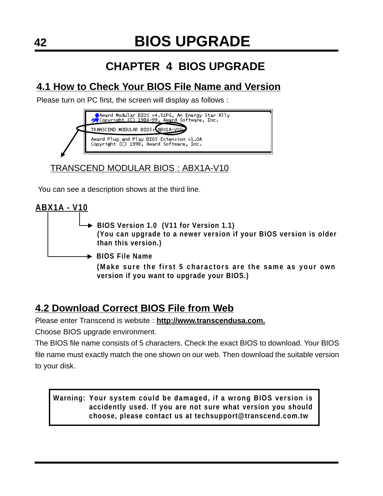## **CHAPTER 4 BIOS UPGRADE**

## **4.1 How to Check Your BIOS File Name and Version**

Please turn on PC first, the screen will display as follows :



TRANSCEND MODULAR BIOS : ABX1A-V10

You can see a description shows at the third line.



## **4.2 Download Correct BIOS File from Web**

Please enter Transcend is website : **http://www.transcendusa.com.**

Choose BIOS upgrade environment.

The BIOS file name consists of 5 characters. Check the exact BIOS to download. Your BIOS file name must exactly match the one shown on our web. Then download the suitable version to your disk.

**Your system could be damaged, if a wrong BIOS version is Warning: accidently used. If you are not sure what version you should choose, please contact us at techsupport@transcend.com.tw**